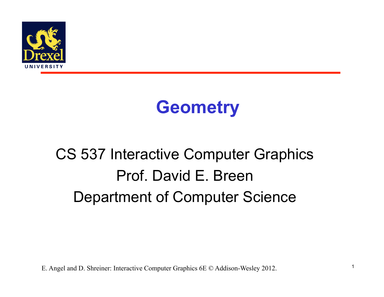

# **Geometry**

# CS 537 Interactive Computer Graphics Prof. David E. Breen Department of Computer Science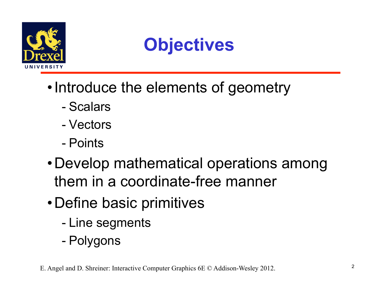

# **Objectives**

- •Introduce the elements of geometry
	- Scalars
	- Vectors
	- Points
- •Develop mathematical operations among them in a coordinate-free manner
- •Define basic primitives
	- Line segments
	- Polygons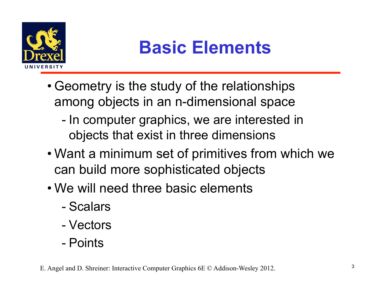

#### **Basic Elements**

- Geometry is the study of the relationships among objects in an n-dimensional space
	- In computer graphics, we are interested in objects that exist in three dimensions
- Want a minimum set of primitives from which we can build more sophisticated objects
- We will need three basic elements
	- Scalars
	- Vectors
	- Points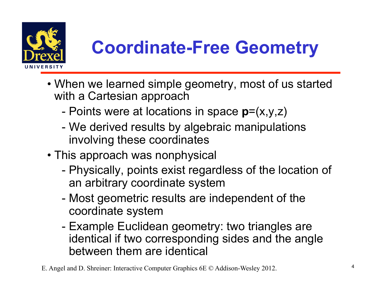

# **Coordinate-Free Geometry**

- When we learned simple geometry, most of us started with a Cartesian approach
	- Points were at locations in space **p**=(x,y,z)
	- We derived results by algebraic manipulations involving these coordinates
- This approach was nonphysical
	- Physically, points exist regardless of the location of an arbitrary coordinate system
	- Most geometric results are independent of the coordinate system
	- Example Euclidean geometry: two triangles are identical if two corresponding sides and the angle between them are identical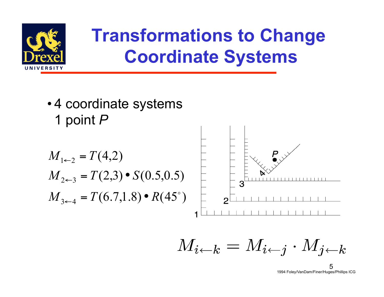

# **Transformations to Change Coordinate Systems**

• 4 coordinate systems 1 point *P*

$$
M_{1 \leftarrow 2} = T(4,2)
$$
  
\n
$$
M_{2 \leftarrow 3} = T(2,3) \cdot S(0.5,0.5)
$$
  
\n
$$
M_{3 \leftarrow 4} = T(6.7,1.8) \cdot R(45^\circ)
$$

$$
M_{i\leftarrow k} = M_{i\leftarrow j}\cdot M_{j\leftarrow k}
$$

5 1994 Foley/VanDam/Finer/Huges/Phillips ICG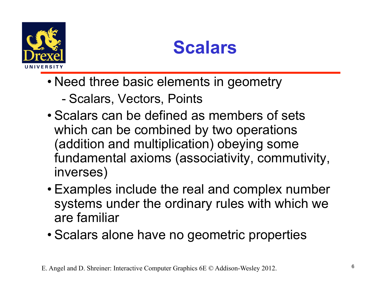



• Need three basic elements in geometry

- Scalars, Vectors, Points

- Scalars can be defined as members of sets which can be combined by two operations (addition and multiplication) obeying some fundamental axioms (associativity, commutivity, inverses)
- Examples include the real and complex number systems under the ordinary rules with which we are familiar
- Scalars alone have no geometric properties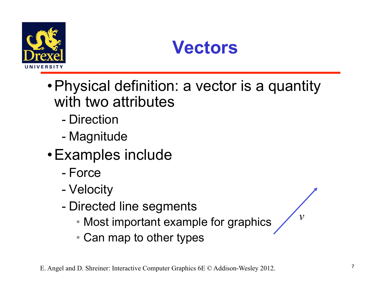



- •Physical definition: a vector is a quantity with two attributes
	- Direction
	- Magnitude
- •Examples include
	- Force
	- Velocity
	- Directed line segments
		- Most important example for graphics
		- Can map to other types

*v*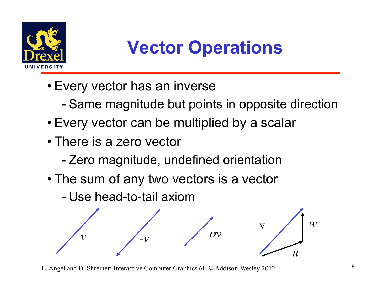

# **Vector Operations**

- Every vector has an inverse
	- Same magnitude but points in opposite direction
- Every vector can be multiplied by a scalar
- There is a zero vector
	- Zero magnitude, undefined orientation
- The sum of any two vectors is a vector
	- Use head-to-tail axiom

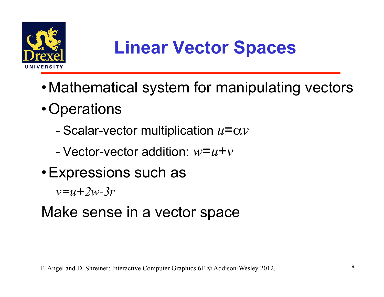

# **Linear Vector Spaces**

- •Mathematical system for manipulating vectors
- •Operations
	- Scalar-vector multiplication *u*=α*v*
	- Vector-vector addition: *w*=*u*+*v*
- •Expressions such as

*v=u+2w-3r* 

Make sense in a vector space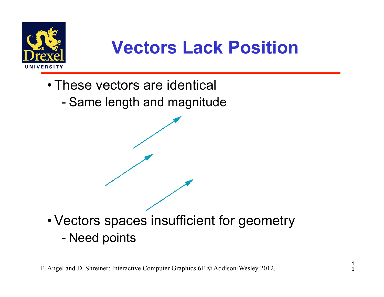

#### **Vectors Lack Position**

- These vectors are identical
	- Same length and magnitude

• Vectors spaces insufficient for geometry - Need points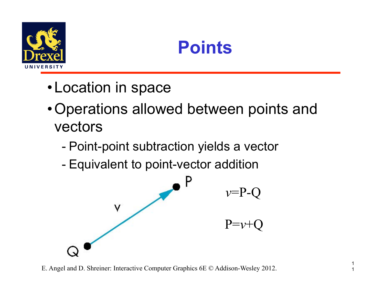



- •Location in space
- •Operations allowed between points and vectors
	- Point-point subtraction yields a vector
	- Equivalent to point-vector addition

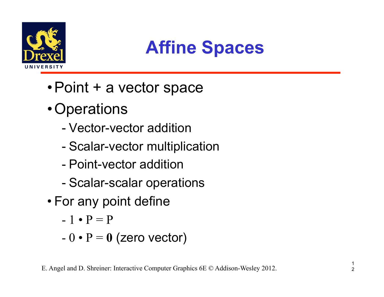

## **Affine Spaces**

- Point + a vector space
- •Operations
	- Vector-vector addition
	- Scalar-vector multiplication
	- Point-vector addition
	- Scalar-scalar operations
- For any point define

 $-1 \cdot P = P$ 

$$
-0 \cdot P = 0
$$
 (zero vector)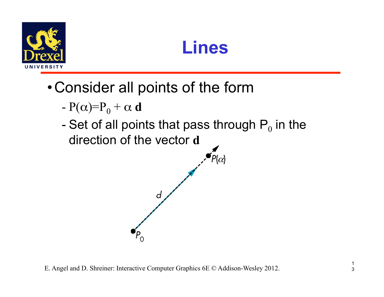

## **Lines**

- •Consider all points of the form
	- $-P(\alpha)=P_0 + \alpha d$
	- Set of all points that pass through  $P_0$  in the direction of the vector **d**

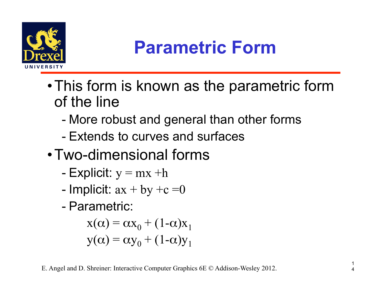

#### **Parametric Form**

- •This form is known as the parametric form of the line
	- More robust and general than other forms
	- Extends to curves and surfaces
- •Two-dimensional forms
	- Explicit:  $y = mx +h$
	- Implicit:  $ax + by +c = 0$
	- Parametric:

$$
x(\alpha) = \alpha x_0 + (1-\alpha)x_1
$$
  

$$
y(\alpha) = \alpha y_0 + (1-\alpha)y_1
$$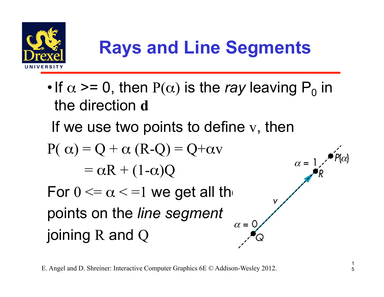

# **Rays and Line Segments**

•If  $\alpha$  >= 0, then P( $\alpha$ ) is the *ray* leaving P<sub>0</sub> in the direction **d**  If we use two points to define v, then  $P(\alpha) = Q + \alpha (R-Q) = Q + \alpha v$  $\alpha = 1$   $\beta$   $P(\alpha)$  $=\alpha R + (1-\alpha)Q$ For  $0 \le \alpha \le -1$  we get all the points on the *line segment*   $\alpha = 0$ joining R and Q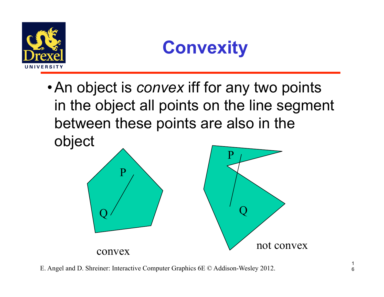



•An object is *convex* iff for any two points in the object all points on the line segment between these points are also in the object

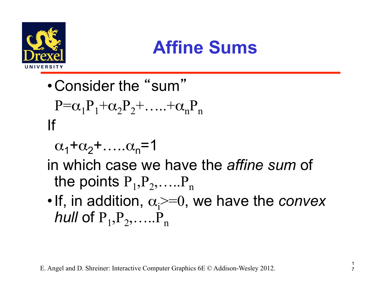



•Consider the " sum "  $P=\alpha_1P_1+\alpha_2P_2+\ldots+\alpha_nP_n$ If

 $\alpha_1+\alpha_2+\ldots+\alpha_n=1$ 

in which case we have the *affine sum* of the points  $P_1, P_2, \ldots, P_n$ 

 $\cdot$  If, in addition,  $\alpha_i$   $\geq$  =0, we have the *convex hull* of  $P_1, P_2, \ldots, P_n$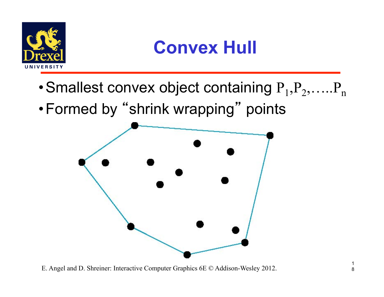

#### **Convex Hull**

- Smallest convex object containing  $P_1, P_2, \ldots P_n$
- •Formed by "shrink wrapping" points

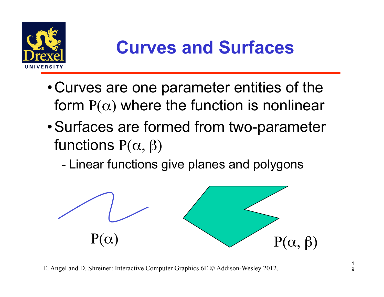

#### **Curves and Surfaces**

- •Curves are one parameter entities of the form  $P(\alpha)$  where the function is nonlinear
- •Surfaces are formed from two-parameter functions  $P(\alpha, \beta)$ 
	- Linear functions give planes and polygons

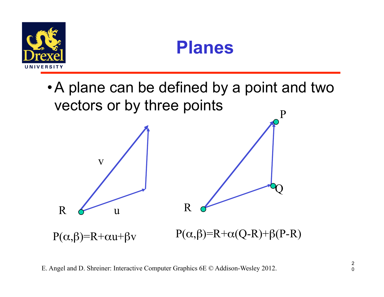



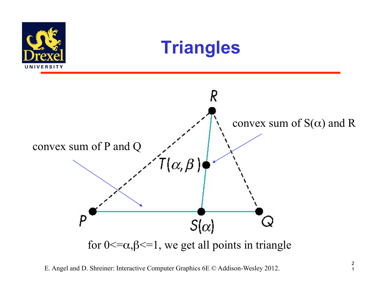

E. Angel and D. Shreiner: Interactive Computer Graphics 6E © Addison-Wesley 2012.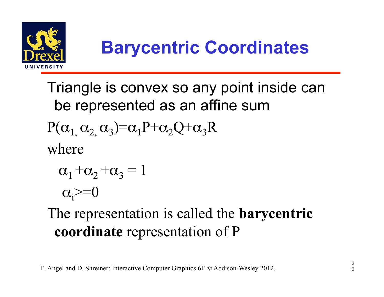

# **Barycentric Coordinates**

Triangle is convex so any point inside can be represented as an affine sum  $P(\alpha_1, \alpha_2, \alpha_3) = \alpha_1 P + \alpha_2 Q + \alpha_3 R$ where  $\alpha_1 + \alpha_2 + \alpha_3 = 1$ 

 $\alpha_i$ >=0

The representation is called the **barycentric coordinate** representation of P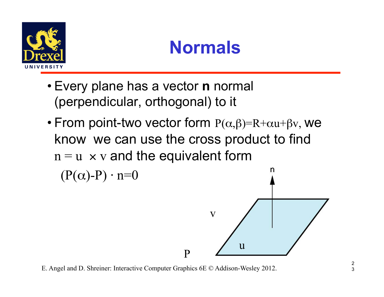

#### **Normals**

- Every plane has a vector **n** normal (perpendicular, orthogonal) to it
- From point-two vector form  $P(\alpha,\beta)=R+\alpha u+\beta v$ , we know we can use the cross product to find  $n = u \times v$  and the equivalent form

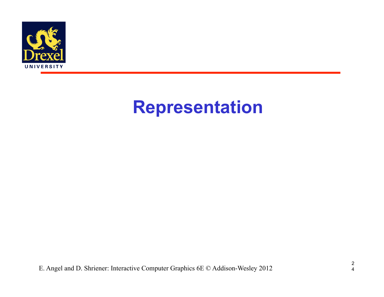

#### **Representation**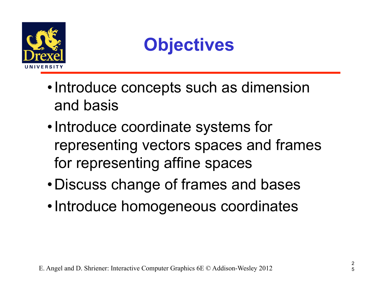

# **Objectives**

- Introduce concepts such as dimension and basis
- •Introduce coordinate systems for representing vectors spaces and frames for representing affine spaces
- •Discuss change of frames and bases
- •Introduce homogeneous coordinates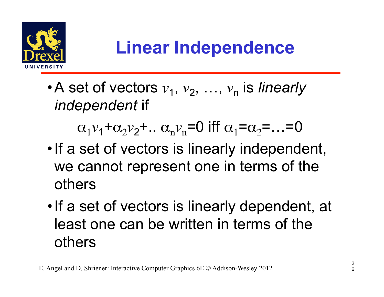

• A set of vectors  $v_1, v_2, ..., v_n$  is *linearly independent* if

 $\alpha_1 v_1 + \alpha_2 v_2 + \ldots$   $\alpha_n v_n = 0$  iff  $\alpha_1 = \alpha_2 = \ldots = 0$ 

- If a set of vectors is linearly independent, we cannot represent one in terms of the others
- If a set of vectors is linearly dependent, at least one can be written in terms of the others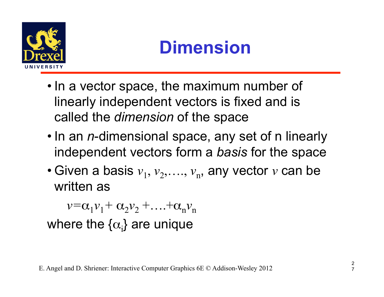

## **Dimension**

- In a vector space, the maximum number of linearly independent vectors is fixed and is called the *dimension* of the space
- In an *n*-dimensional space, any set of n linearly independent vectors form a *basis* for the space
- Given a basis  $v_1, v_2, \ldots, v_n$ , any vector  $v$  can be written as

 $v = \alpha_1 v_1 + \alpha_2 v_2 + \ldots + \alpha_n v_n$ where the  $\{\alpha_i\}$  are unique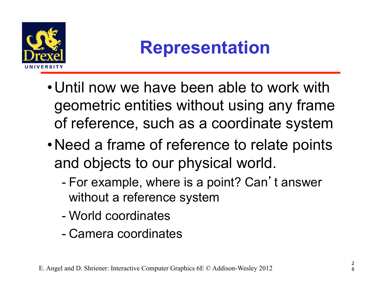

# **Representation**

- •Until now we have been able to work with geometric entities without using any frame of reference, such as a coordinate system
- •Need a frame of reference to relate points and objects to our physical world.
	- For example, where is a point? Can't answer without a reference system
	- World coordinates
	- Camera coordinates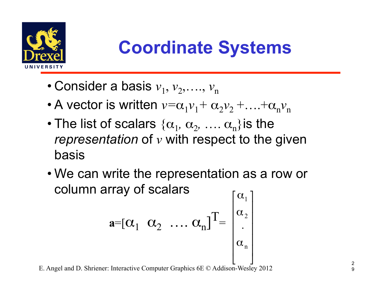

## **Coordinate Systems**

- Consider a basis  $v_1, v_2, \ldots, v_n$
- A vector is written  $v = \alpha_1 v_1 + \alpha_2 v_2 + \ldots + \alpha_n v_n$
- The list of scalars  $\{\alpha_1, \alpha_2, \ldots, \alpha_n\}$  is the *representation* of *v* with respect to the given basis
- We can write the representation as a row or column array of scalars ⎤  $\int \alpha_1$

$$
\mathbf{a} = [\alpha_1 \ \alpha_2 \ \dots \ \alpha_n]^T = \begin{bmatrix} \alpha_2 \\ \alpha_2 \\ \vdots \\ \alpha_n \end{bmatrix}
$$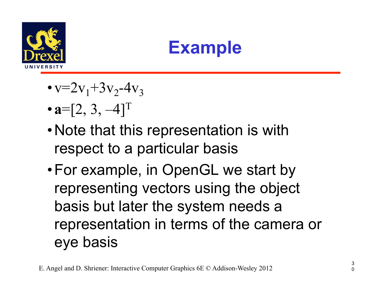

#### **Example**

- $v=2v_1+3v_2-4v_3$
- $\mathbf{a} = [2, 3, -4]^T$
- Note that this representation is with respect to a particular basis
- •For example, in OpenGL we start by representing vectors using the object basis but later the system needs a representation in terms of the camera or eye basis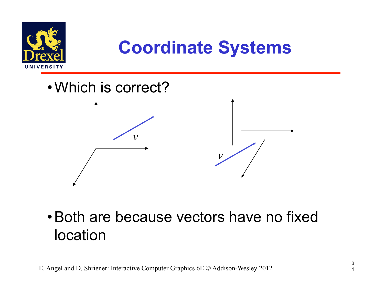

#### **Coordinate Systems**

#### •Which is correct?



#### •Both are because vectors have no fixed location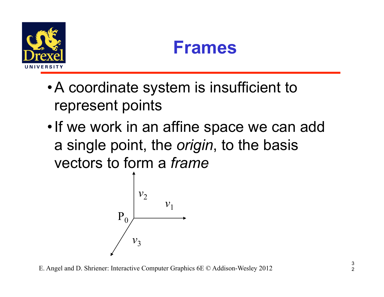



- •A coordinate system is insufficient to represent points
- •If we work in an affine space we can add a single point, the *origin*, to the basis vectors to form a *frame*

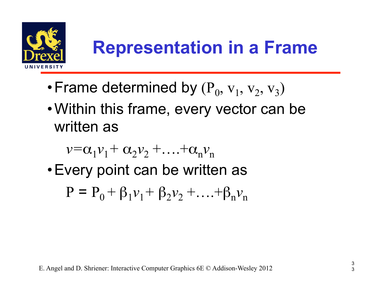

#### **Representation in a Frame**

- Frame determined by  $(P_0, v_1, v_2, v_3)$
- •Within this frame, every vector can be written as

$$
v = \alpha_1 v_1 + \alpha_2 v_2 + \ldots + \alpha_n v_n
$$

•Every point can be written as

$$
P = P_0 + \beta_1 v_1 + \beta_2 v_2 + \dots + \beta_n v_n
$$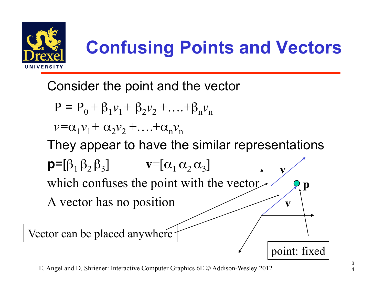

# **Confusing Points and Vectors**

 $\sqrt{ }$ 

Consider the point and the vector

P = P<sub>0</sub> + β<sub>1</sub>v<sub>1</sub> + β<sub>2</sub>v<sub>2</sub> +....+β<sub>n</sub>v<sub>n</sub>  
\nv=α<sub>1</sub>v<sub>1</sub> + α<sub>2</sub>v<sub>2</sub> +....+α<sub>n</sub>v<sub>n</sub>  
\nThey appear to have the similar representations  
\n
$$
\mathbf{p} = [\beta_1 \beta_2 \beta_3] \qquad \mathbf{v} = [\alpha_1 \alpha_2 \alpha_3]
$$
\nwhich confuses the point with the vector  
\nA vector has no position  
\nVector can be placed anywhere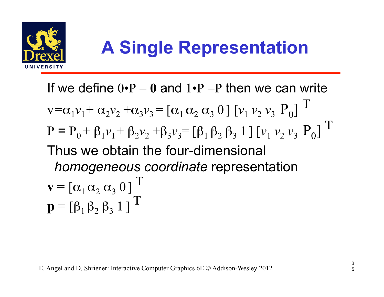

#### **A Single Representation**

If we define  $0\cdot P = 0$  and  $1\cdot P = P$  then we can write  $v = \alpha_1 v_1 + \alpha_2 v_2 + \alpha_3 v_3 = [\alpha_1 \alpha_2 \alpha_3 \alpha_1] [v_1 v_2 v_3 P_0]$ <sup>T</sup>  $P = P_0 + \beta_1 v_1 + \beta_2 v_2 + \beta_3 v_3 = [\beta_1 \beta_2 \beta_3 1] [v_1 v_2 v_3 P_0]$ Thus we obtain the four-dimensional *homogeneous coordinate* representation  $\mathbf{v} = [\alpha_1 \alpha_2 \alpha_3 0]$  T  $\mathbf{p} = [\beta_1 \beta_2 \beta_3 1]$ T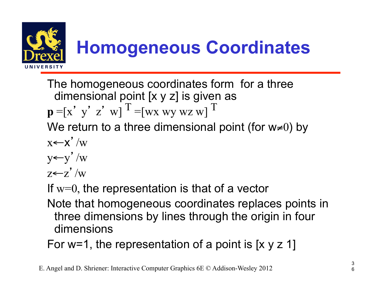

The homogeneous coordinates form for a three dimensional point [x y z] is given as  $\mathbf{p} = [\mathbf{x}' \ \mathbf{y}' \ \mathbf{z}' \ \mathbf{w}]^\mathsf{T} = [\mathbf{w} \mathbf{x} \ \mathbf{w} \mathbf{y} \ \mathbf{w} \mathbf{z} \ \mathbf{w}]^\mathsf{T}$ We return to a three dimensional point (for  $w\neq 0$ ) by  $x \leftarrow x' / w$ y←y '/w  $z \leftarrow z' / w$ 

If  $w=0$ , the representation is that of a vector

Note that homogeneous coordinates replaces points in three dimensions by lines through the origin in four dimensions

For w=1, the representation of a point is  $[x \ y \ z \ 1]$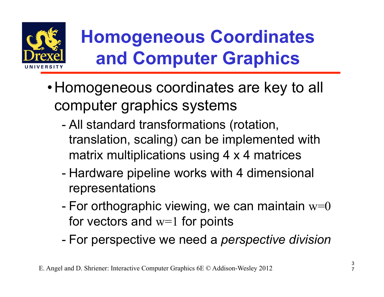

# **Homogeneous Coordinates and Computer Graphics**

- •Homogeneous coordinates are key to all computer graphics systems
	- All standard transformations (rotation, translation, scaling) can be implemented with matrix multiplications using 4 x 4 matrices
	- Hardware pipeline works with 4 dimensional representations
	- For orthographic viewing, we can maintain  $w=0$ for vectors and  $w=1$  for points
	- For perspective we need a *perspective division*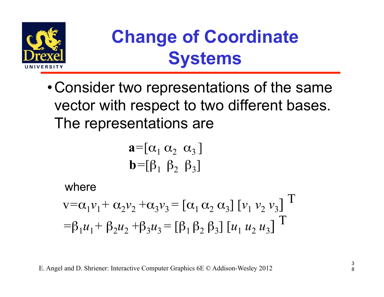

# **Change of Coordinate Systems**

•Consider two representations of the same vector with respect to two different bases. The representations are

$$
\mathbf{a} = [\alpha_1 \alpha_2 \alpha_3]
$$
  

$$
\mathbf{b} = [\beta_1 \beta_2 \beta_3]
$$

where

$$
v = \alpha_1 v_1 + \alpha_2 v_2 + \alpha_3 v_3 = [\alpha_1 \alpha_2 \alpha_3] [v_1 v_2 v_3]^{T}
$$
  
=  $\beta_1 u_1 + \beta_2 u_2 + \beta_3 u_3 = [\beta_1 \beta_2 \beta_3] [u_1 u_2 u_3]^{T}$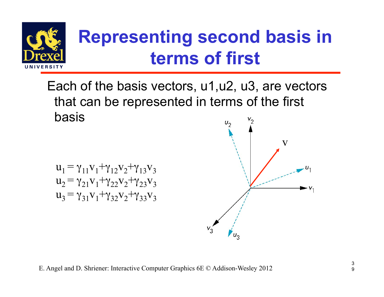

# **Representing second basis in terms of first**

Each of the basis vectors, u1,u2, u3, are vectors that can be represented in terms of the first basis



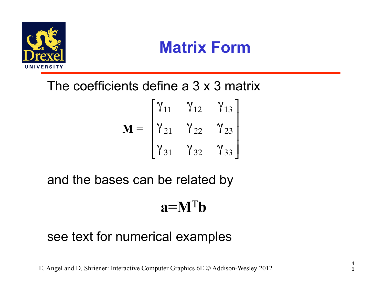

#### **Matrix Form**

The coefficients define a 3 x 3 matrix

$$
\mathbf{M} = \begin{bmatrix} \gamma_{11} & \gamma_{12} & \gamma_{13} \\ \gamma_{21} & \gamma_{22} & \gamma_{23} \\ \gamma_{31} & \gamma_{32} & \gamma_{33} \end{bmatrix}
$$

and the bases can be related by

#### $a = M<sup>T</sup>b$

#### see text for numerical examples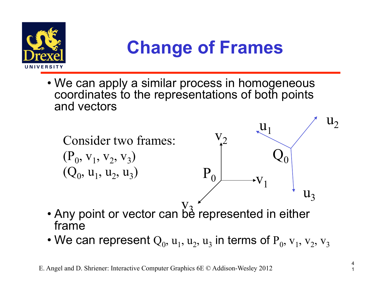

#### **Change of Frames**

• We can apply a similar process in homogeneous coordinates to the representations of both points and vectors



- frame
- We can represent  $Q_0$ ,  $u_1$ ,  $u_2$ ,  $u_3$  in terms of  $P_0$ ,  $v_1$ ,  $v_2$ ,  $v_3$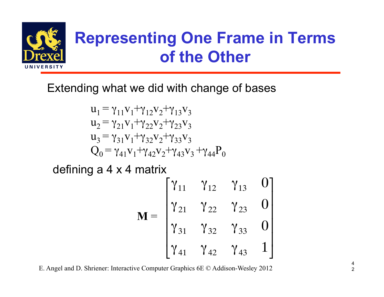

Extending what we did with change of bases

$$
u_1 = \gamma_{11}v_1 + \gamma_{12}v_2 + \gamma_{13}v_3
$$
  
\n
$$
u_2 = \gamma_{21}v_1 + \gamma_{22}v_2 + \gamma_{23}v_3
$$
  
\n
$$
u_3 = \gamma_{31}v_1 + \gamma_{32}v_2 + \gamma_{33}v_3
$$
  
\n
$$
Q_0 = \gamma_{41}v_1 + \gamma_{42}v_2 + \gamma_{43}v_3 + \gamma_{44}P_0
$$

defining a 4 x 4 matrix

$$
\mathbf{M} = \begin{bmatrix} \gamma_{11} & \gamma_{12} & \gamma_{13} & 0 \\ \gamma_{21} & \gamma_{22} & \gamma_{23} & 0 \\ \gamma_{31} & \gamma_{32} & \gamma_{33} & 0 \\ \gamma_{41} & \gamma_{42} & \gamma_{43} & 1 \end{bmatrix}
$$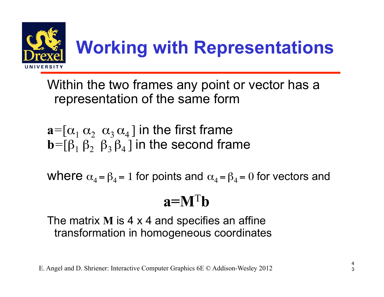

Within the two frames any point or vector has a representation of the same form

 $\mathbf{a} = [\alpha_1 \alpha_2 \alpha_3 \alpha_4]$  in the first frame **b**= $[\beta_1 \beta_2 \beta_3 \beta_4]$  in the second frame

where  $\alpha_4 = \beta_4 = 1$  for points and  $\alpha_4 = \beta_4 = 0$  for vectors and

#### $a = M<sup>T</sup>b$

The matrix **M** is 4 x 4 and specifies an affine transformation in homogeneous coordinates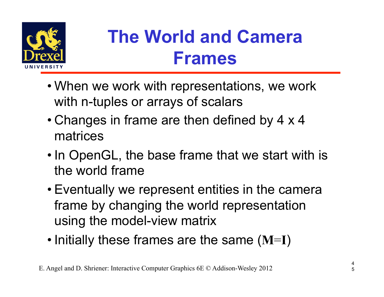

# **The World and Camera Frames**

- When we work with representations, we work with n-tuples or arrays of scalars
- Changes in frame are then defined by 4 x 4 matrices
- In OpenGL, the base frame that we start with is the world frame
- Eventually we represent entities in the camera frame by changing the world representation using the model-view matrix
- Initially these frames are the same (**M**=**I**)